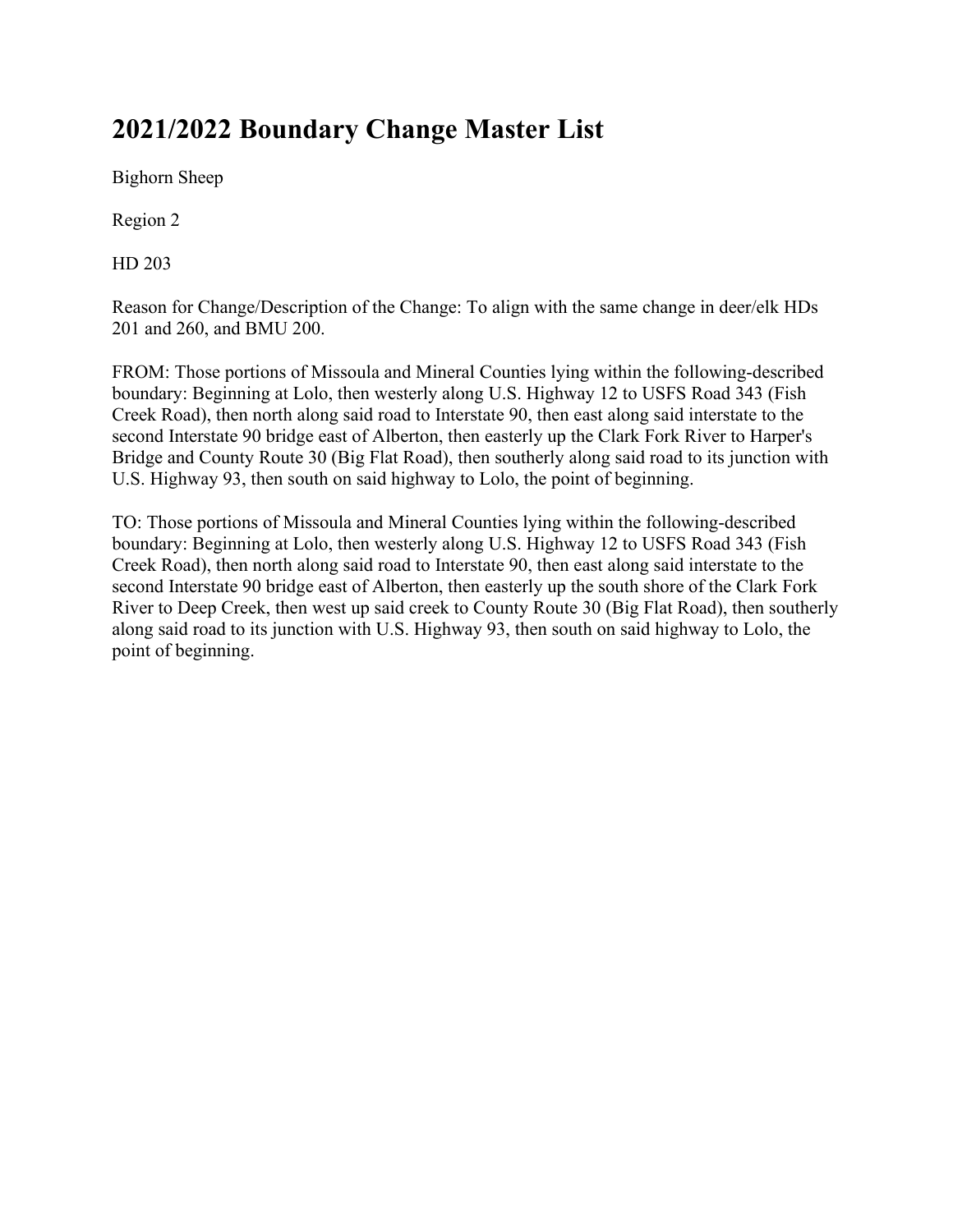## **2021/2022 Boundary Change Master List**

Bighorn Sheep

Region 2

HD 203

Reason for Change/Description of the Change: To align with the same change in deer/elk HDs 201 and 260, and BMU 200.

FROM: Those portions of Missoula and Mineral Counties lying within the following-described boundary: Beginning at Lolo, then westerly along U.S. Highway 12 to USFS Road 343 (Fish Creek Road), then north along said road to Interstate 90, then east along said interstate to the second Interstate 90 bridge east of Alberton, then easterly up the Clark Fork River to Harper's Bridge and County Route 30 (Big Flat Road), then southerly along said road to its junction with U.S. Highway 93, then south on said highway to Lolo, the point of beginning.

TO: Those portions of Missoula and Mineral Counties lying within the following-described boundary: Beginning at Lolo, then westerly along U.S. Highway 12 to USFS Road 343 (Fish Creek Road), then north along said road to Interstate 90, then east along said interstate to the second Interstate 90 bridge east of Alberton, then easterly up the south shore of the Clark Fork River to Deep Creek, then west up said creek to County Route 30 (Big Flat Road), then southerly along said road to its junction with U.S. Highway 93, then south on said highway to Lolo, the point of beginning.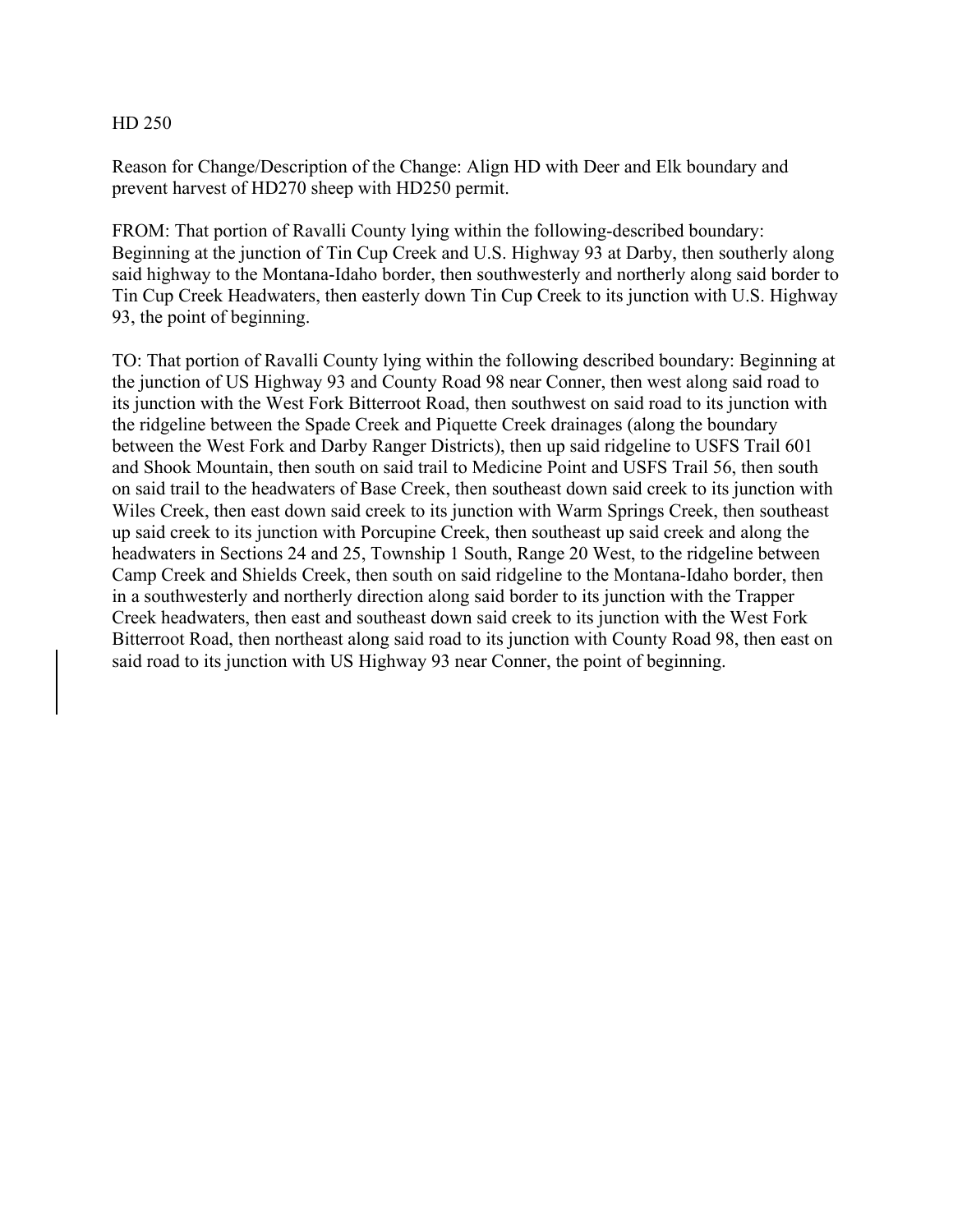## HD 250

Reason for Change/Description of the Change: Align HD with Deer and Elk boundary and prevent harvest of HD270 sheep with HD250 permit.

FROM: That portion of Ravalli County lying within the following-described boundary: Beginning at the junction of Tin Cup Creek and U.S. Highway 93 at Darby, then southerly along said highway to the Montana-Idaho border, then southwesterly and northerly along said border to Tin Cup Creek Headwaters, then easterly down Tin Cup Creek to its junction with U.S. Highway 93, the point of beginning.

TO: That portion of Ravalli County lying within the following described boundary: Beginning at the junction of US Highway 93 and County Road 98 near Conner, then west along said road to its junction with the West Fork Bitterroot Road, then southwest on said road to its junction with the ridgeline between the Spade Creek and Piquette Creek drainages (along the boundary between the West Fork and Darby Ranger Districts), then up said ridgeline to USFS Trail 601 and Shook Mountain, then south on said trail to Medicine Point and USFS Trail 56, then south on said trail to the headwaters of Base Creek, then southeast down said creek to its junction with Wiles Creek, then east down said creek to its junction with Warm Springs Creek, then southeast up said creek to its junction with Porcupine Creek, then southeast up said creek and along the headwaters in Sections 24 and 25, Township 1 South, Range 20 West, to the ridgeline between Camp Creek and Shields Creek, then south on said ridgeline to the Montana-Idaho border, then in a southwesterly and northerly direction along said border to its junction with the Trapper Creek headwaters, then east and southeast down said creek to its junction with the West Fork Bitterroot Road, then northeast along said road to its junction with County Road 98, then east on said road to its junction with US Highway 93 near Conner, the point of beginning.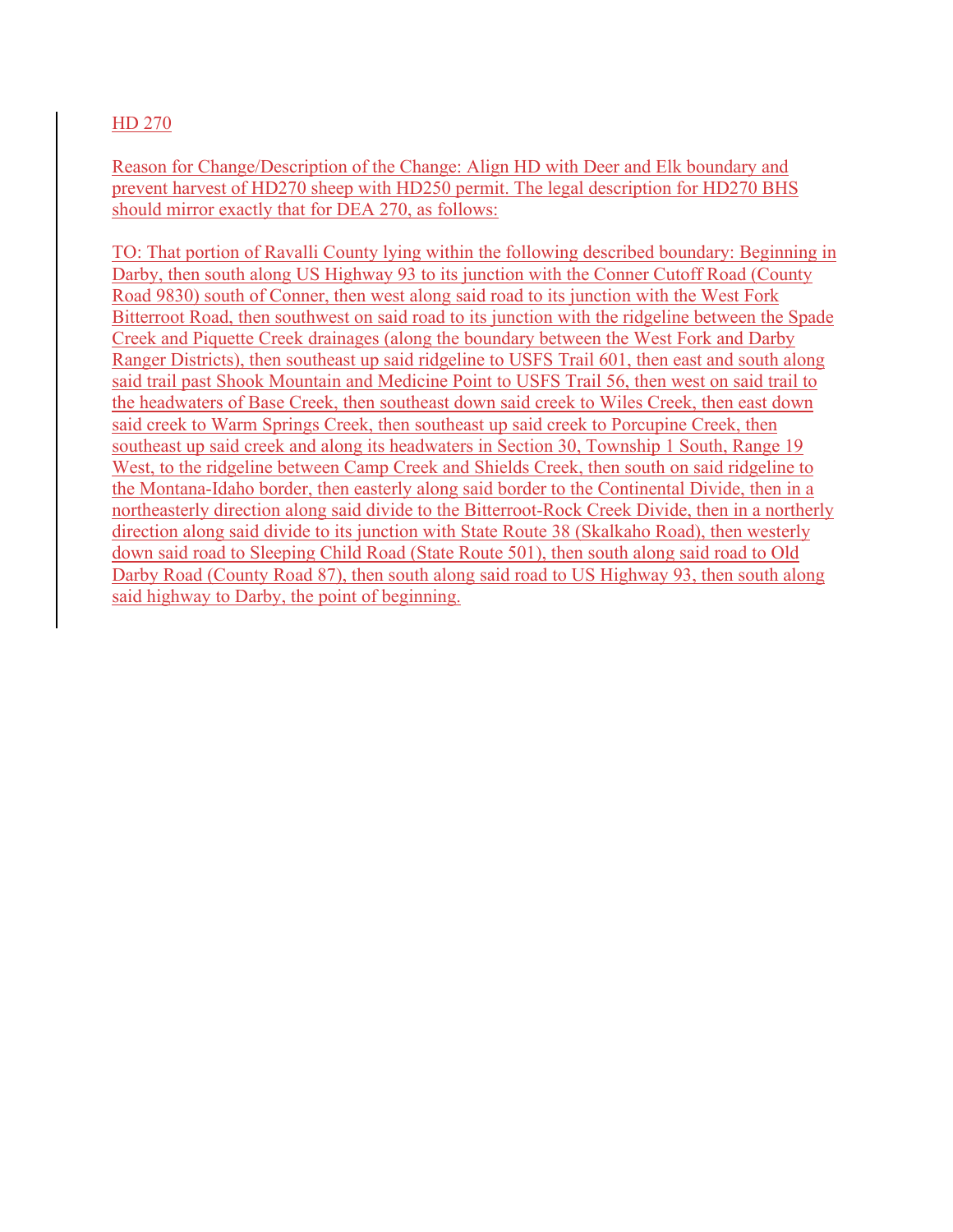## HD 270

Reason for Change/Description of the Change: Align HD with Deer and Elk boundary and prevent harvest of HD270 sheep with HD250 permit. The legal description for HD270 BHS should mirror exactly that for DEA 270, as follows:

TO: That portion of Ravalli County lying within the following described boundary: Beginning in Darby, then south along US Highway 93 to its junction with the Conner Cutoff Road (County Road 9830) south of Conner, then west along said road to its junction with the West Fork Bitterroot Road, then southwest on said road to its junction with the ridgeline between the Spade Creek and Piquette Creek drainages (along the boundary between the West Fork and Darby Ranger Districts), then southeast up said ridgeline to USFS Trail 601, then east and south along said trail past Shook Mountain and Medicine Point to USFS Trail 56, then west on said trail to the headwaters of Base Creek, then southeast down said creek to Wiles Creek, then east down said creek to Warm Springs Creek, then southeast up said creek to Porcupine Creek, then southeast up said creek and along its headwaters in Section 30, Township 1 South, Range 19 West, to the ridgeline between Camp Creek and Shields Creek, then south on said ridgeline to the Montana-Idaho border, then easterly along said border to the Continental Divide, then in a northeasterly direction along said divide to the Bitterroot-Rock Creek Divide, then in a northerly direction along said divide to its junction with State Route 38 (Skalkaho Road), then westerly down said road to Sleeping Child Road (State Route 501), then south along said road to Old Darby Road (County Road 87), then south along said road to US Highway 93, then south along said highway to Darby, the point of beginning.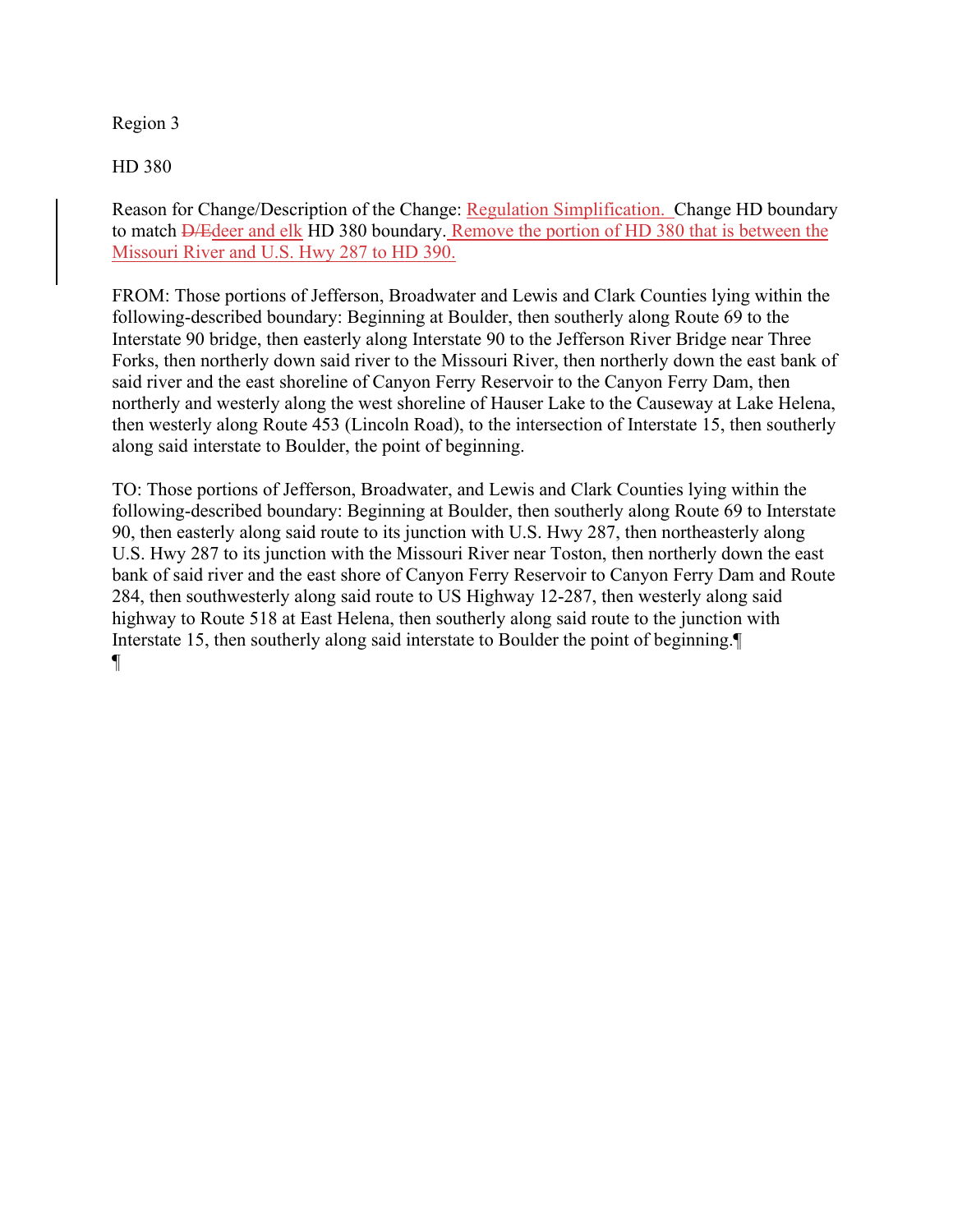## Region 3

HD 380

Reason for Change/Description of the Change: Regulation Simplification. Change HD boundary to match D/Edeer and elk HD 380 boundary. Remove the portion of HD 380 that is between the Missouri River and U.S. Hwy 287 to HD 390.

FROM: Those portions of Jefferson, Broadwater and Lewis and Clark Counties lying within the following-described boundary: Beginning at Boulder, then southerly along Route 69 to the Interstate 90 bridge, then easterly along Interstate 90 to the Jefferson River Bridge near Three Forks, then northerly down said river to the Missouri River, then northerly down the east bank of said river and the east shoreline of Canyon Ferry Reservoir to the Canyon Ferry Dam, then northerly and westerly along the west shoreline of Hauser Lake to the Causeway at Lake Helena, then westerly along Route 453 (Lincoln Road), to the intersection of Interstate 15, then southerly along said interstate to Boulder, the point of beginning.

TO: Those portions of Jefferson, Broadwater, and Lewis and Clark Counties lying within the following-described boundary: Beginning at Boulder, then southerly along Route 69 to Interstate 90, then easterly along said route to its junction with U.S. Hwy 287, then northeasterly along U.S. Hwy 287 to its junction with the Missouri River near Toston, then northerly down the east bank of said river and the east shore of Canyon Ferry Reservoir to Canyon Ferry Dam and Route 284, then southwesterly along said route to US Highway 12-287, then westerly along said highway to Route 518 at East Helena, then southerly along said route to the junction with Interstate 15, then southerly along said interstate to Boulder the point of beginning.¶ ¶